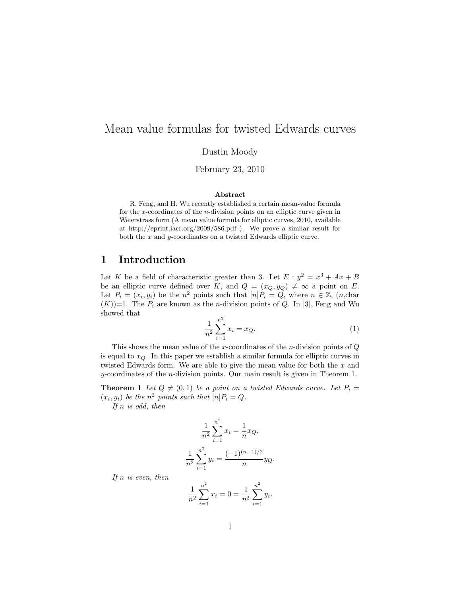# Mean value formulas for twisted Edwards curves

Dustin Moody

February 23, 2010

#### Abstract

R. Feng, and H. Wu recently established a certain mean-value formula for the x-coordinates of the  $n$ -division points on an elliptic curve given in Weierstrass form (A mean value formula for elliptic curves, 2010, available at http://eprint.iacr.org/2009/586.pdf ). We prove a similar result for both the  $x$  and  $y$ -coordinates on a twisted Edwards elliptic curve.

### 1 Introduction

Let K be a field of characteristic greater than 3. Let  $E : y^2 = x^3 + Ax + B$ be an elliptic curve defined over K, and  $Q = (x_Q, y_Q) \neq \infty$  a point on E. Let  $P_i = (x_i, y_i)$  be the  $n^2$  points such that  $[n]P_i = Q$ , where  $n \in \mathbb{Z}$ ,  $(n, \text{char})$  $(K)$ =1. The  $P_i$  are known as the *n*-division points of Q. In [3], Feng and Wu showed that

$$
\frac{1}{n^2} \sum_{i=1}^{n^2} x_i = x_Q.
$$
 (1)

This shows the mean value of the x-coordinates of the n-division points of  $Q$ is equal to  $x_Q$ . In this paper we establish a similar formula for elliptic curves in twisted Edwards form. We are able to give the mean value for both the x and y-coordinates of the *n*-division points. Our main result is given in Theorem 1.

**Theorem 1** Let  $Q \neq (0, 1)$  be a point on a twisted Edwards curve. Let  $P_i =$  $(x_i, y_i)$  be the  $n^2$  points such that  $[n]P_i = Q$ .

If  $n$  is odd, then

$$
\frac{1}{n^2} \sum_{i=1}^{n^2} x_i = \frac{1}{n} x_Q,
$$
  

$$
\frac{1}{n^2} \sum_{i=1}^{n^2} y_i = \frac{(-1)^{(n-1)/2}}{n} y_Q.
$$

If  $n$  is even, then

$$
\frac{1}{n^2} \sum_{i=1}^{n^2} x_i = 0 = \frac{1}{n^2} \sum_{i=1}^{n^2} y_i.
$$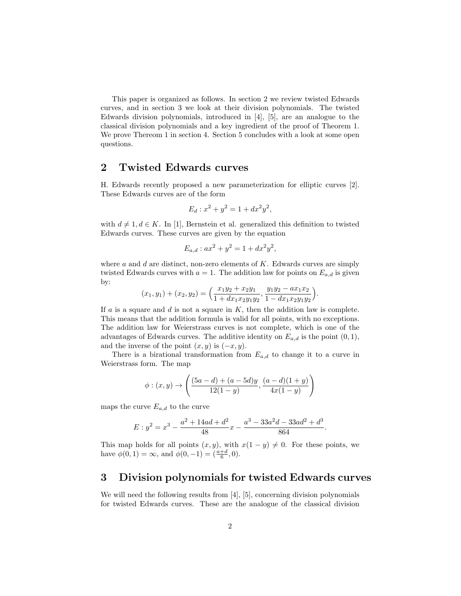This paper is organized as follows. In section 2 we review twisted Edwards curves, and in section 3 we look at their division polynomials. The twisted Edwards division polynomials, introduced in [4], [5], are an analogue to the classical division polynomials and a key ingredient of the proof of Theorem 1. We prove Thereom 1 in section 4. Section 5 concludes with a look at some open questions.

### 2 Twisted Edwards curves

H. Edwards recently proposed a new parameterization for elliptic curves [2]. These Edwards curves are of the form

$$
E_d: x^2 + y^2 = 1 + dx^2 y^2,
$$

with  $d \neq 1, d \in K$ . In [1], Bernstein et al. generalized this definition to twisted Edwards curves. These curves are given by the equation

$$
E_{a,d}: ax^2 + y^2 = 1 + dx^2y^2,
$$

where  $a$  and  $d$  are distinct, non-zero elements of  $K$ . Edwards curves are simply twisted Edwards curves with  $a = 1$ . The addition law for points on  $E_{a,d}$  is given by:

$$
(x_1, y_1) + (x_2, y_2) = \left(\frac{x_1y_2 + x_2y_1}{1 + dx_1x_2y_1y_2}, \frac{y_1y_2 - ax_1x_2}{1 - dx_1x_2y_1y_2}\right).
$$

If  $a$  is a square and  $d$  is not a square in  $K$ , then the addition law is complete. This means that the addition formula is valid for all points, with no exceptions. The addition law for Weierstrass curves is not complete, which is one of the advantages of Edwards curves. The additive identity on  $E_{a,d}$  is the point  $(0,1)$ , and the inverse of the point  $(x, y)$  is  $(-x, y)$ .

There is a birational transformation from  $E_{a,d}$  to change it to a curve in Weierstrass form. The map

$$
\phi: (x, y) \to \left( \frac{(5a - d) + (a - 5d)y}{12(1 - y)}, \frac{(a - d)(1 + y)}{4x(1 - y)} \right)
$$

maps the curve  $E_{a,d}$  to the curve

$$
E: y^2 = x^3 - \frac{a^2 + 14ad + d^2}{48}x - \frac{a^3 - 33a^2d - 33ad^2 + d^3}{864}.
$$

This map holds for all points  $(x, y)$ , with  $x(1 - y) \neq 0$ . For these points, we have  $\phi(0,1) = \infty$ , and  $\phi(0,-1) = \left(\frac{a+d}{6}, 0\right)$ .

### 3 Division polynomials for twisted Edwards curves

We will need the following results from [4], [5], concerning division polynomials for twisted Edwards curves. These are the analogue of the classical division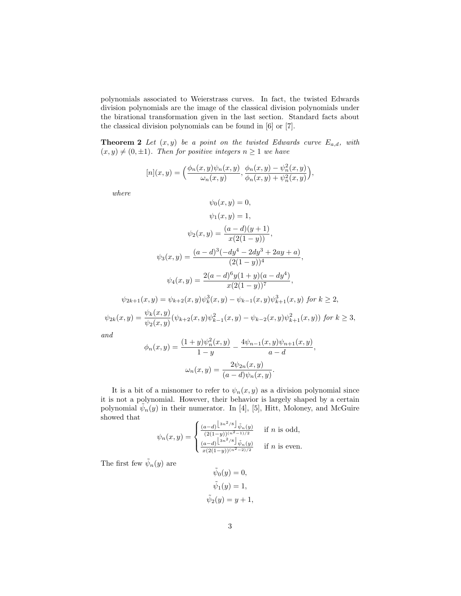polynomials associated to Weierstrass curves. In fact, the twisted Edwards division polynomials are the image of the classical division polynomials under the birational transformation given in the last section. Standard facts about the classical division polynomials can be found in [6] or [7].

**Theorem 2** Let  $(x, y)$  be a point on the twisted Edwards curve  $E_{a,d}$ , with  $(x, y) \neq (0, \pm 1)$ . Then for positive integers  $n \geq 1$  we have

$$
[n](x,y) = \left(\frac{\phi_n(x,y)\psi_n(x,y)}{\omega_n(x,y)}, \frac{\phi_n(x,y) - \psi_n^2(x,y)}{\phi_n(x,y) + \psi_n^2(x,y)}\right),
$$

where

$$
\psi_0(x, y) = 0,
$$
  
\n
$$
\psi_1(x, y) = 1,
$$
  
\n
$$
\psi_2(x, y) = \frac{(a - d)(y + 1)}{x(2(1 - y))},
$$
  
\n
$$
\psi_3(x, y) = \frac{(a - d)^3(-dy^4 - 2dy^3 + 2ay + a)}{(2(1 - y))^4},
$$
  
\n
$$
\psi_4(x, y) = \frac{2(a - d)^6 y (1 + y)(a - dy^4)}{x(2(1 - y))^7},
$$
  
\n
$$
\psi_{2k+1}(x, y) = \psi_{k+2}(x, y) \psi_k^3(x, y) - \psi_{k-1}(x, y) \psi_{k+1}^3(x, y) \text{ for } k \ge 2,
$$
  
\n
$$
\psi_{2k}(x, y) = \frac{\psi_k(x, y)}{\psi_{k+2}(x, y) \psi_{k-1}^2(x, y) - \psi_{k-2}(x, y) \psi_{k+1}^2(x, y)) \text{ for } k \ge 3,
$$

$$
\psi_{2k}(x,y) = \frac{\psi_k(x,y)}{\psi_2(x,y)} (\psi_{k+2}(x,y)) \psi_{k-1}^2(x,y) - \psi_{k-2}(x,y) \psi_{k+1}^2(x,y)) \text{ for } k \geq
$$

and

$$
\phi_n(x, y) = \frac{(1+y)\psi_n^2(x, y)}{1-y} - \frac{4\psi_{n-1}(x, y)\psi_{n+1}(x, y)}{a-d},
$$

$$
\omega_n(x, y) = \frac{2\psi_{2n}(x, y)}{(a-d)\psi_n(x, y)}.
$$

It is a bit of a misnomer to refer to  $\psi_n(x, y)$  as a division polynomial since it is not a polynomial. However, their behavior is largely shaped by a certain polynomial  $\tilde{\psi}_n(y)$  in their numerator. In [4], [5], Hitt, Moloney, and McGuire showed that

$$
\psi_n(x,y) = \begin{cases} \frac{(a-d)^{\left\lfloor 3n^2/8 \right\rfloor} \tilde{\psi}_n(y)}{(2(1-y))^{(n^2-1)/2}} & \text{if } n \text{ is odd,} \\ \frac{(a-d)^{\left\lfloor 3n^2/8 \right\rfloor} \tilde{\psi}_n(y)}{x(2(1-y))^{(n^2-2)/2}} & \text{if } n \text{ is even.} \end{cases}
$$

The first few  $\tilde{\psi}_n(y)$  are

$$
\tilde{\psi}_0(y) = 0,
$$
  

$$
\tilde{\psi}_1(y) = 1,
$$
  

$$
\tilde{\psi}_2(y) = y + 1,
$$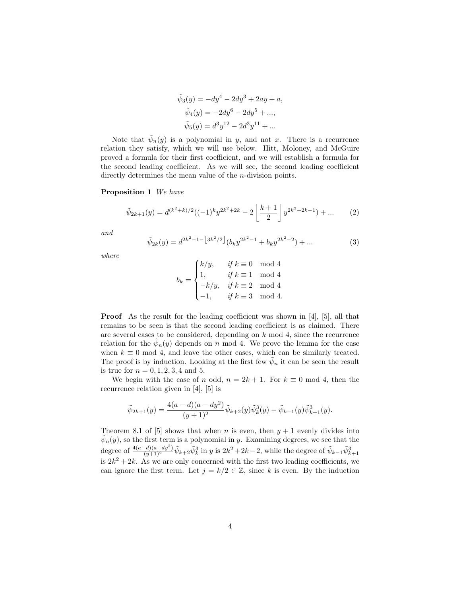$$
\tilde{\psi}_3(y) = -dy^4 - 2dy^3 + 2ay + a,
$$
  

$$
\tilde{\psi}_4(y) = -2dy^6 - 2dy^5 + ...,
$$
  

$$
\tilde{\psi}_5(y) = d^3y^{12} - 2d^3y^{11} + ...
$$

Note that  $\tilde{\psi}_n(y)$  is a polynomial in y, and not x. There is a recurrence relation they satisfy, which we will use below. Hitt, Moloney, and McGuire proved a formula for their first coefficient, and we will establish a formula for the second leading coefficient. As we will see, the second leading coefficient directly determines the mean value of the *n*-division points.

### Proposition 1 We have

$$
\tilde{\psi}_{2k+1}(y) = d^{(k^2+k)/2}((-1)^k y^{2k^2+2k} - 2\left\lfloor \frac{k+1}{2} \right\rfloor y^{2k^2+2k-1}) + \dots \tag{2}
$$

and

$$
\tilde{\psi}_{2k}(y) = d^{2k^2 - 1 - \left\lfloor 3k^2/2 \right\rfloor} (b_k y^{2k^2 - 1} + b_k y^{2k^2 - 2}) + \dots
$$
\n(3)

where

$$
b_k = \begin{cases} k/y, & \text{if } k \equiv 0 \mod 4 \\ 1, & \text{if } k \equiv 1 \mod 4 \\ -k/y, & \text{if } k \equiv 2 \mod 4 \\ -1, & \text{if } k \equiv 3 \mod 4. \end{cases}
$$

Proof As the result for the leading coefficient was shown in [4], [5], all that remains to be seen is that the second leading coefficient is as claimed. There are several cases to be considered, depending on  $k \mod 4$ , since the recurrence relation for the  $\tilde{\psi}_n(y)$  depends on n mod 4. We prove the lemma for the case when  $k \equiv 0 \mod 4$ , and leave the other cases, which can be similarly treated. The proof is by induction. Looking at the first few  $\tilde{\psi}_n$  it can be seen the result is true for  $n = 0, 1, 2, 3, 4$  and 5.

We begin with the case of n odd,  $n = 2k + 1$ . For  $k \equiv 0 \mod 4$ , then the recurrence relation given in [4], [5] is

$$
\tilde{\psi}_{2k+1}(y) = \frac{4(a-d)(a-dy^2)}{(y+1)^2} \tilde{\psi}_{k+2}(y) \tilde{\psi}_k^3(y) - \tilde{\psi}_{k-1}(y) \tilde{\psi}_{k+1}^3(y).
$$

Theorem 8.1 of [5] shows that when n is even, then  $y + 1$  evenly divides into  $\tilde{\psi}_n(y)$ , so the first term is a polynomial in y. Examining degrees, we see that the degree of  $\frac{4(a-d)(a-dy^2)}{(y+1)^2} \tilde{\psi}_{k+2} \tilde{\psi}_k^3$  in y is  $2k^2+2k-2$ , while the degree of  $\tilde{\psi}_{k-1} \tilde{\psi}_{k+1}^3$ is  $2k^2 + 2k$ . As we are only concerned with the first two leading coefficients, we can ignore the first term. Let  $j = k/2 \in \mathbb{Z}$ , since k is even. By the induction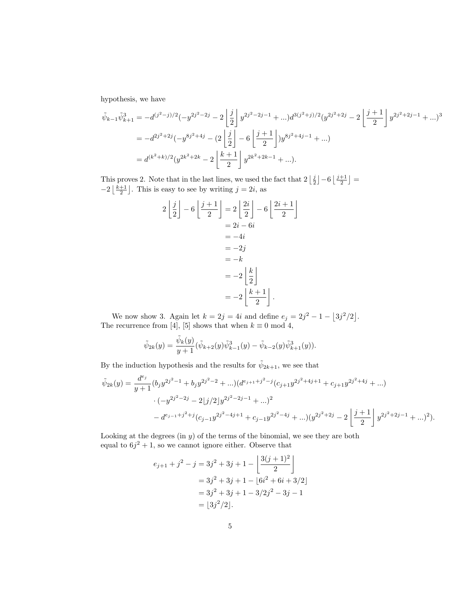hypothesis, we have

$$
\tilde{\psi}_{k-1}\tilde{\psi}_{k+1}^{3} = -d^{(j^{2}-j)/2}(-y^{2j^{2}-2j} - 2\left\lfloor \frac{j}{2} \right\rfloor y^{2j^{2}-2j-1} + \dots) d^{3(j^{2}+j)/2}(y^{2j^{2}+2j} - 2\left\lfloor \frac{j+1}{2} \right\rfloor y^{2j^{2}+2j-1} + \dots)^{3}
$$
\n
$$
= -d^{2j^{2}+2j}(-y^{8j^{2}+4j} - (2\left\lfloor \frac{j}{2} \right\rfloor - 6\left\lfloor \frac{j+1}{2} \right\rfloor)y^{8j^{2}+4j-1} + \dots)
$$
\n
$$
= d^{(k^{2}+k)/2}(y^{2k^{2}+2k} - 2\left\lfloor \frac{k+1}{2} \right\rfloor y^{2k^{2}+2k-1} + \dots).
$$

This proves 2. Note that in the last lines, we used the fact that  $2\left\lfloor \frac{j}{2}\right\rfloor - 6\left\lfloor \frac{j+1}{2}\right\rfloor =$  $-2\left\lfloor \frac{k+1}{2} \right\rfloor$ . This is easy to see by writing  $j = 2i$ , as

$$
2\left\lfloor \frac{j}{2} \right\rfloor - 6\left\lfloor \frac{j+1}{2} \right\rfloor = 2\left\lfloor \frac{2i}{2} \right\rfloor - 6\left\lfloor \frac{2i+1}{2} \right\rfloor
$$

$$
= 2i - 6i
$$

$$
= -4i
$$

$$
= -2j
$$

$$
= -k
$$

$$
= -2\left\lfloor \frac{k}{2} \right\rfloor
$$

$$
= -2\left\lfloor \frac{k+1}{2} \right\rfloor.
$$

We now show 3. Again let  $k = 2j = 4i$  and define  $e_j = 2j^2 - 1 - |3j^2/2|$ . The recurrence from [4], [5] shows that when  $k \equiv 0 \mod 4$ ,

$$
\tilde{\psi}_{2k}(y) = \frac{\tilde{\psi}_k(y)}{y+1} (\tilde{\psi}_{k+2}(y)\tilde{\psi}_{k-1}^3(y) - \tilde{\psi}_{k-2}(y)\tilde{\psi}_{k+1}^3(y)).
$$

By the induction hypothesis and the results for  $\tilde{\psi}_{2k+1}$ , we see that

$$
\tilde{\psi}_{2k}(y) = \frac{d^{e_j}}{y+1} (b_j y^{2j^2-1} + b_j y^{2j^2-2} + ...) (d^{e_{j+1}+j^2-j} (c_{j+1} y^{2j^2+4j+1} + c_{j+1} y^{2j^2+4j} + ...)
$$
  

$$
\cdot (-y^{2j^2-2j} - 2\lfloor j/2 \rfloor y^{2j^2-2j-1} + ...)^{2}
$$
  

$$
- d^{e_{j-1}+j^2+j} (c_{j-1} y^{2j^2-4j+1} + c_{j-1} y^{2j^2-4j} + ...)(y^{2j^2+2j} - 2\left| \frac{j+1}{2} \right| y^{2j^2+2j-1} + ... )^{2}).
$$

Looking at the degrees  $(in y)$  of the terms of the binomial, we see they are both equal to  $6j^2 + 1$ , so we cannot ignore either. Observe that

$$
e_{j+1} + j^2 - j = 3j^2 + 3j + 1 - \left[ \frac{3(j+1)^2}{2} \right]
$$
  
= 3j^2 + 3j + 1 - [6i^2 + 6i + 3/2]  
= 3j^2 + 3j + 1 - 3/2j^2 - 3j - 1  
= |3j^2/2|.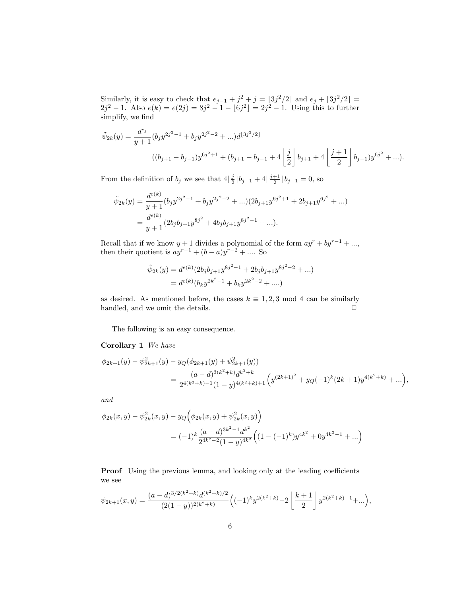Similarly, it is easy to check that  $e_{j-1} + j^2 + j = \lfloor 3j^2/2 \rfloor$  and  $e_j + \lfloor 3j^2/2 \rfloor =$  $2j^2 - 1$ . Also  $e(k) = e(2j) = 8j^2 - 1 - [6j^2] = 2j^2 - 1$ . Using this to further simplify, we find

$$
\tilde{\psi}_{2k}(y) = \frac{d^{e_j}}{y+1} (b_j y^{2j^2-1} + b_j y^{2j^2-2} + ...)d^{[3j^2/2]}
$$
\n
$$
((b_{j+1} - b_{j-1})y^{6j^2+1} + (b_{j+1} - b_{j-1} + 4\left\lfloor \frac{j}{2} \right\rfloor b_{j+1} + 4\left\lfloor \frac{j+1}{2} \right\rfloor b_{j-1})y^{6j^2} + ...).
$$

From the definition of  $b_j$  we see that  $4\left\lfloor \frac{j}{2}\right\rfloor b_{j+1} + 4\left\lfloor \frac{j+1}{2}\right\rfloor b_{j-1} = 0$ , so

$$
\tilde{\psi}_{2k}(y) = \frac{d^{e(k)}}{y+1} (b_j y^{2j^2-1} + b_j y^{2j^2-2} + ...) (2b_{j+1} y^{6j^2+1} + 2b_{j+1} y^{6j^2} + ...)
$$
  
= 
$$
\frac{d^{e(k)}}{y+1} (2b_j b_{j+1} y^{8j^2} + 4b_j b_{j+1} y^{8j^2-1} + ...).
$$

Recall that if we know  $y + 1$  divides a polynomial of the form  $ay^{r} + by^{r-1} + ...$ , then their quotient is  $ay^{r-1} + (b-a)y^{r-2} + \dots$  So

$$
\tilde{\psi}_{2k}(y) = d^{e(k)} (2b_j b_{j+1} y^{8j^2 - 1} + 2b_j b_{j+1} y^{8j^2 - 2} + \dots)
$$
  
= 
$$
d^{e(k)} (b_k y^{2k^2 - 1} + b_k y^{2k^2 - 2} + \dots)
$$

as desired. As mentioned before, the cases  $k \equiv 1, 2, 3 \mod 4$  can be similarly handled, and we omit the details.  $\Box$ 

The following is an easy consequence.

#### Corollary 1 We have

$$
\phi_{2k+1}(y) - \psi_{2k+1}^2(y) - y_Q(\phi_{2k+1}(y) + \psi_{2k+1}^2(y))
$$
  
= 
$$
\frac{(a-d)^{3(k^2+k)}d^{k^2+k}}{2^{4(k^2+k)-1}(1-y)^{4(k^2+k)+1}} \Big(y^{(2k+1)^2} + y_Q(-1)^k(2k+1)y^{4(k^2+k)} + \dots\Big),
$$

and

$$
\phi_{2k}(x,y) - \psi_{2k}^2(x,y) - y_Q\left(\phi_{2k}(x,y) + \psi_{2k}^2(x,y)\right)
$$
  
=  $(-1)^k \frac{(a-d)^{3k^2-1}d^{k^2}}{2^{4k^2-2}(1-y)^{4k^2}} \left((1 - (-1)^k)y^{4k^2} + 0y^{4k^2-1} + ...\right)$ 

Proof Using the previous lemma, and looking only at the leading coefficients we see

$$
\psi_{2k+1}(x,y) = \frac{(a-d)^{3/2(k^2+k)}d^{(k^2+k)/2}}{(2(1-y))^{2(k^2+k)}} \left((-1)^k y^{2(k^2+k)} - 2\left\lfloor\frac{k+1}{2}\right\rfloor y^{2(k^2+k)-1} + \dots\right),
$$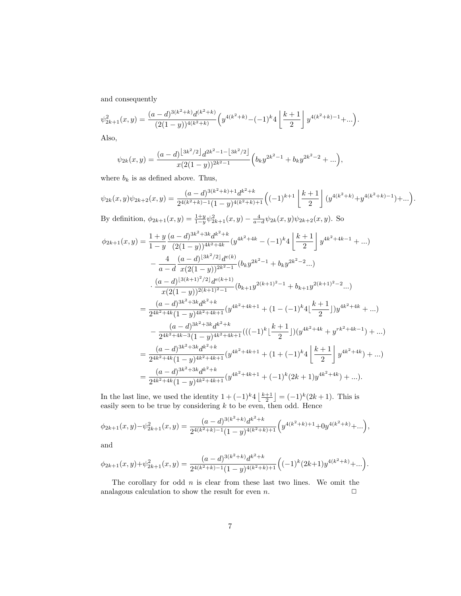and consequently

$$
\psi_{2k+1}^2(x,y) = \frac{(a-d)^{3(k^2+k)}d^{(k^2+k)}}{(2(1-y))^{4(k^2+k)}} \left( y^{4(k^2+k)} - (-1)^k 4 \left[ \frac{k+1}{2} \right] y^{4(k^2+k)-1} + \dots \right).
$$

Also,

$$
\psi_{2k}(x,y) = \frac{(a-d)^{\lfloor 3k^2/2 \rfloor} d^{2k^2-1-\lfloor 3k^2/2 \rfloor}}{x(2(1-y))^{2k^2-1}} \Big(b_k y^{2k^2-1} + b_k y^{2k^2-2} + \ldots \Big),
$$

where  $b_k$  is as defined above. Thus,

$$
\psi_{2k}(x,y)\psi_{2k+2}(x,y) = \frac{(a-d)^{3(k^2+k)+1}d^{k^2+k}}{2^{4(k^2+k)-1}(1-y)^{4(k^2+k)+1}} \left((-1)^{k+1}\left\lfloor\frac{k+1}{2}\right\rfloor (y^{4(k^2+k)}+y^{4(k^2+k)-1})+\ldots\right).
$$

By definition,  $\phi_{2k+1}(x,y) = \frac{1+y}{1-y}\psi_{2k+1}^2(x,y) - \frac{4}{a-d}\psi_{2k}(x,y)\psi_{2k+2}(x,y)$ . So

$$
\phi_{2k+1}(x,y) = \frac{1+y}{1-y} \frac{(a-d)^{3k^2+3k} d^{k^2+k}}{(2(1-y))^{4k^2+4k}} (y^{4k^2+4k} - (-1)^k 4 \left[ \frac{k+1}{2} \right] y^{4k^2+4k-1} + ...)
$$
  
\n
$$
- \frac{4}{a-d} \frac{(a-d)^{\lfloor 3k^2/2 \rfloor} d^{e(k)}}{x(2(1-y))^{2k^2-1}} (b_k y^{2k^2-1} + b_k y^{2k^2-2} ...)
$$
  
\n
$$
\cdot \frac{(a-d)^{\lfloor 3(k+1)^2/2 \rfloor} d^{e(k+1)}}{x(2(1-y))^{2(k+1)^2-1}} (b_{k+1} y^{2(k+1)^2-1} + b_{k+1} y^{2(k+1)^2-2} ...)
$$
  
\n
$$
= \frac{(a-d)^{3k^2+3k} d^{k^2+k}}{2^{4k^2+4k} (1-y)^{4k^2+4k+1}} (y^{4k^2+4k+1} + (1 - (-1)^k 4 \left[ \frac{k+1}{2} \right]) y^{4k^2+4k} + ...)
$$
  
\n
$$
- \frac{(a-d)^{3k^2+3k} d^{k^2+k}}{2^{4k^2+4k-3} (1-y)^{4k^2+4k+1}} (((-1)^k \left[ \frac{k+1}{2} \right]) (y^{4k^2+4k} + y^{rk^2+4k-1}) + ...)
$$
  
\n
$$
= \frac{(a-d)^{3k^2+3k} d^{k^2+k}}{2^{4k^2+4k} (1-y)^{4k^2+4k+1}} (y^{4k^2+4k+1} + (1 + (-1)^k 4 \left[ \frac{k+1}{2} \right] y^{4k^2+4k}) + ...)
$$
  
\n
$$
= \frac{(a-d)^{3k^2+3k} d^{k^2+k}}{2^{4k^2+4k} (1-y)^{4k^2+4k+1}} (y^{4k^2+4k+1} + (-1)^k (2k+1) y^{4k^2+4k}) + ...).
$$

In the last line, we used the identity  $1 + (-1)^{k} 4 \left\lfloor \frac{k+1}{2} \right\rfloor = (-1)^{k} (2k+1)$ . This is easily seen to be true by considering  $k$  to be even, then odd. Hence

$$
\phi_{2k+1}(x,y)-\psi_{2k+1}^2(x,y)=\frac{(a-d)^{3(k^2+k)}d^{k^2+k}}{2^{4(k^2+k)-1}(1-y)^{4(k^2+k)+1}}\Big(y^{4(k^2+k)+1}+0y^{4(k^2+k)}+\ldots\Big),
$$

and

$$
\phi_{2k+1}(x,y)+\psi_{2k+1}^2(x,y)=\frac{(a-d)^{3(k^2+k)}d^{k^2+k}}{2^{4(k^2+k)-1}(1-y)^{4(k^2+k)+1}}\Big((-1)^k(2k+1)y^{4(k^2+k)}+\ldots\Big).
$$

The corollary for odd  $n$  is clear from these last two lines. We omit the analagous calculation to show the result for even  $n$ .  $\Box$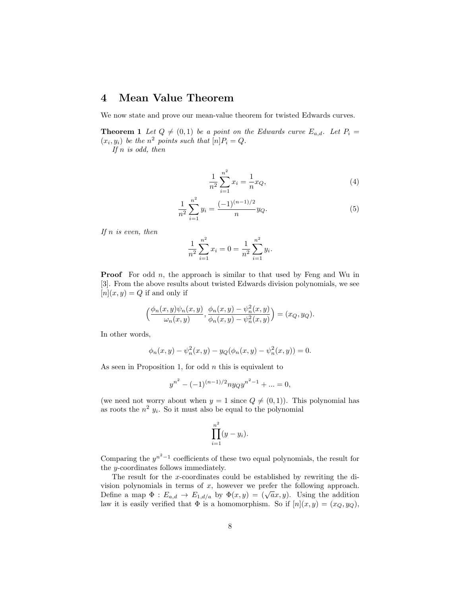## 4 Mean Value Theorem

We now state and prove our mean-value theorem for twisted Edwards curves.

**Theorem 1** Let  $Q \neq (0, 1)$  be a point on the Edwards curve  $E_{a,d}$ . Let  $P_i =$  $(x_i, y_i)$  be the  $n^2$  points such that  $[n]P_i = Q$ .

If  $n$  is odd, then

$$
\frac{1}{n^2} \sum_{i=1}^{n^2} x_i = \frac{1}{n} x_Q,
$$
\n(4)

$$
\frac{1}{n^2} \sum_{i=1}^{n^2} y_i = \frac{(-1)^{(n-1)/2}}{n} y_Q.
$$
\n(5)

If  $n$  is even, then

$$
\frac{1}{n^2} \sum_{i=1}^{n^2} x_i = 0 = \frac{1}{n^2} \sum_{i=1}^{n^2} y_i.
$$

**Proof** For odd  $n$ , the approach is similar to that used by Feng and Wu in [3]. From the above results about twisted Edwards division polynomials, we see  $[n](x, y) = Q$  if and only if

$$
\left(\frac{\phi_n(x,y)\psi_n(x,y)}{\omega_n(x,y)}, \frac{\phi_n(x,y)-\psi_n^2(x,y)}{\phi_n(x,y)-\psi_n^2(x,y)}\right)=(x_Q,y_Q).
$$

In other words,

$$
\phi_n(x, y) - \psi_n^2(x, y) - y_Q(\phi_n(x, y) - \psi_n^2(x, y)) = 0.
$$

As seen in Proposition 1, for odd  $n$  this is equivalent to

$$
y^{n^2} - (-1)^{(n-1)/2} n y_Q y^{n^2 - 1} + \dots = 0,
$$

(we need not worry about when  $y = 1$  since  $Q \neq (0, 1)$ ). This polynomial has as roots the  $n^2$   $y_i$ . So it must also be equal to the polynomial

$$
\prod_{i=1}^{n^2} (y - y_i).
$$

Comparing the  $y^{n^2-1}$  coefficients of these two equal polynomials, the result for the y-coordinates follows immediately.

The result for the x-coordinates could be established by rewriting the division polynomials in terms of  $x$ , however we prefer the following approach. vision polynomials in terms of x, however we prefer the following approach.<br>Define a map  $\Phi : E_{a,d} \to E_{1,d/a}$  by  $\Phi(x,y) = (\sqrt{a}x, y)$ . Using the addition law it is easily verified that  $\Phi$  is a homomorphism. So if  $[n](x, y) = (x_Q, y_Q)$ ,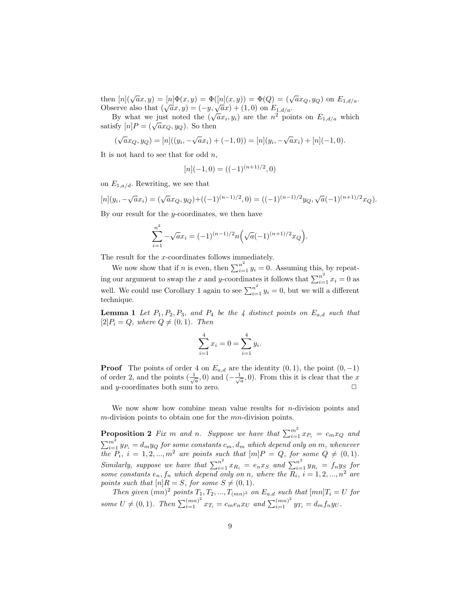then  $[n](\sqrt{a}x, y) = [n]\Phi(x, y) = \Phi([n](x, y)) = \Phi(Q) = (\sqrt{a}x_{Q}, y_{Q})$  on  $E_{1, d/a}$ . Then  $\mu_1(\sqrt{ax}, y) = \mu_1(\sqrt{ax}, y) = \mathcal{L}(\mu_1(x, y)) = \mathcal{L}(\mathcal{L}) = (\sqrt{a}x)$ <br>Observe also that  $(\sqrt{ax}, y) = (-y, \sqrt{ax}) + (1, 0)$  on  $E_{1, d/a}$ .

By what we just noted the  $(\sqrt{ax_i}, y_i)$  are the  $n^2$  points on  $E_{1,d/a}$  which By what we just noted the  $\sqrt{ }$ <br>satisfy  $[n]P = (\sqrt{a}x_Q, y_Q)$ . So then

$$
(\sqrt{a}x_Q, y_Q) = [n]((y_i, -\sqrt{a}x_i) + (-1, 0)) = [n](y_i, -\sqrt{a}x_i) + [n](-1, 0).
$$

It is not hard to see that for odd  $n$ ,

$$
[n](-1,0) = ((-1)^{(n+1)/2},0)
$$

on  $E_{1,a/d}$ . Rewriting, we see that

$$
[n](y_i, -\sqrt{a}x_i) = (\sqrt{a}x_Q, y_Q) + ((-1)^{(n-1)/2}, 0) = ((-1)^{(n-1)/2}y_Q, \sqrt{a}(-1)^{(n+1)/2}x_Q).
$$

By our result for the  $y$ -coordinates, we then have

$$
\sum_{i=1}^{n^2} -\sqrt{a}x_i = (-1)^{(n-1)/2}n\left(\sqrt{a}(-1)^{(n+1)/2}x_Q\right).
$$

The result for the x-coordinates follows immediately.

We now show that if *n* is even, then  $\sum_{i=1}^{n^2} y_i = 0$ . Assuming this, by repeating our argument to swap the x and y-coordinates it follows that  $\sum_{i=1}^{n^2} x_i = 0$  as well. We could use Corollary 1 again to see  $\sum_{i=1}^{n^2} y_i = 0$ , but we will a different technique.

**Lemma 1** Let  $P_1, P_2, P_3$ , and  $P_4$  be the 4 distinct points on  $E_{a,d}$  such that  $[2]P_i = Q$ , where  $Q \neq (0, 1)$ . Then

$$
\sum_{i=1}^{4} x_i = 0 = \sum_{i=1}^{4} y_i.
$$

**Proof** The points of order 4 on  $E_{a,d}$  are the identity  $(0, 1)$ , the point  $(0, -1)$ of order 2, and the points  $(\frac{1}{\sqrt{a}}, 0)$  and  $(-\frac{1}{\sqrt{a}}, 0)$ . From this it is clear that the x and  $y$ -coordinates both sum to zero.

We now show how combine mean value results for  $n$ -division points and  $m$ -division points to obtain one for the  $mn$ -division points.

**Proposition 2** Fix m and n. Suppose we have that  $\sum_{i=1}^{m^2} x_{P_i} = c_m x_Q$  and  $\sum_{i=1}^{m^2} y_{P_i} = d_m y_Q$  for some constants  $c_m, d_m$  which depend only on m, whenever the  $P_i$ ,  $i = 1, 2, ..., m^2$  are points such that  $[m]P = Q$ , for some  $Q \neq (0, 1)$ . Similarly, suppose we have that  $\sum_{i=1}^{n^2} x_{R_i} = e_n x_S$  and  $\sum_{i=1}^{n^2} y_{R_i} = f_n y_S$  for some constants  $e_n, f_n$  which depend only on n, where the  $R_i$ ,  $i = 1, 2, ..., n^2$  are points such that  $[n]R = S$ , for some  $S \neq (0, 1)$ .

Then given  $(mn)^2$  points  $T_1, T_2, ..., T_{(mn)^2}$  on  $E_{a,d}$  such that  $[mn]T_i = U$  for some  $U \neq (0, 1)$ . Then  $\sum_{i=1}^{(mn)^2} x_{T_i} = c_m e_n x_U$  and  $\sum_{i=1}^{(mn)^2} y_{T_i} = d_m f_n y_U$ .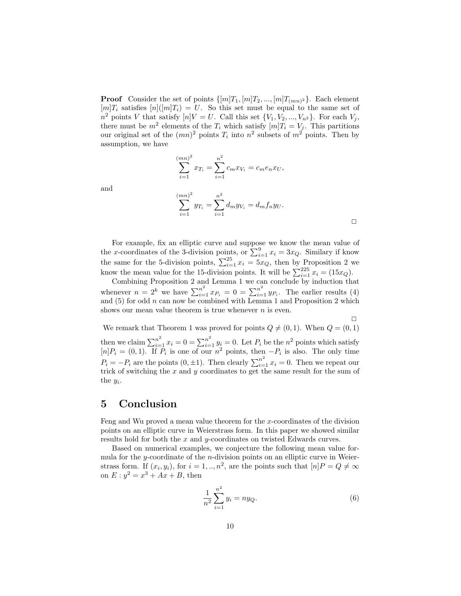**Proof** Consider the set of points  $\{[m]T_1, [m]T_2, ..., [m]T_{(mn)^2}\}\$ . Each element  $[m]T_i$  satisfies  $[n](m]T_i) = U$ . So this set must be equal to the same set of  $n^2$  points V that satisfy  $[n]V = U$ . Call this set  $\{V_1, V_2, ..., V_{n^2}\}$ . For each  $V_j$ , there must be  $m^2$  elements of the  $T_i$  which satisfy  $[m]T_i = V_j$ . This partitions our original set of the  $(mn)^2$  points  $T_i$  into  $n^2$  subsets of  $m^2$  points. Then by assumption, we have

$$
\sum_{i=1}^{(mn)^2} x_{T_i} = \sum_{i=1}^{n^2} c_m x_{V_i} = c_m e_n x_U,
$$

 $\overline{(\ }$ 

and

$$
\sum_{i=1}^{mn^2} y_{T_i} = \sum_{i=1}^{n^2} d_m y_{V_i} = d_m f_n y_U.
$$

For example, fix an elliptic curve and suppose we know the mean value of the x-coordinates of the 3-division points, or  $\sum_{i=1}^{9} x_i = 3x_Q$ . Similary if know the same for the 5-division points,  $\sum_{i=1}^{25} x_i = 5x_Q$ , then by Proposition 2 we know the mean value for the 15-division points. It will be  $\sum_{i=1}^{225} x_i = (15x_Q)$ .

Combining Proposition 2 and Lemma 1 we can conclude by induction that whenever  $n = 2^k$  we have  $\sum_{i=1}^{n^2} x_{P_i} = 0 = \sum_{i=1}^{n^2} y_{P_i}$ . The earlier results (4) and  $(5)$  for odd n can now be combined with Lemma 1 and Proposition 2 which shows our mean value theorem is true whenever  $n$  is even.

We remark that Theorem 1 was proved for points  $Q \neq (0, 1)$ . When  $Q = (0, 1)$ . then we claim  $\sum_{i=1}^{n^2} x_i = 0 = \sum_{i=1}^{n^2} y_i = 0$ . Let  $P_i$  be the  $n^2$  points which satisfy  $[n]P_i = (0,1)$ . If  $\overline{P}_i$  is one of our  $n^2$  points, then  $-P_i$  is also. The only time  $P_i = -P_i$  are the points  $(0, \pm 1)$ . Then clearly  $\sum_{i=1}^{n^2} x_i = 0$ . Then we repeat our trick of switching the  $x$  and  $y$  coordinates to get the same result for the sum of the  $y_i$ .

### 5 Conclusion

Feng and Wu proved a mean value theorem for the  $x$ -coordinates of the division points on an elliptic curve in Weierstrass form. In this paper we showed similar results hold for both the x and y-coordinates on twisted Edwards curves.

Based on numerical examples, we conjecture the following mean value formula for the y-coordinate of the  $n$ -division points on an elliptic curve in Weierstrass form. If  $(x_i, y_i)$ , for  $i = 1, ..., n^2$ , are the points such that  $[n]P = Q \neq \infty$ on  $E: y^2 = x^3 + Ax + B$ , then

$$
\frac{1}{n^2} \sum_{i=1}^{n^2} y_i = n y_Q.
$$
 (6)

 $\Box$